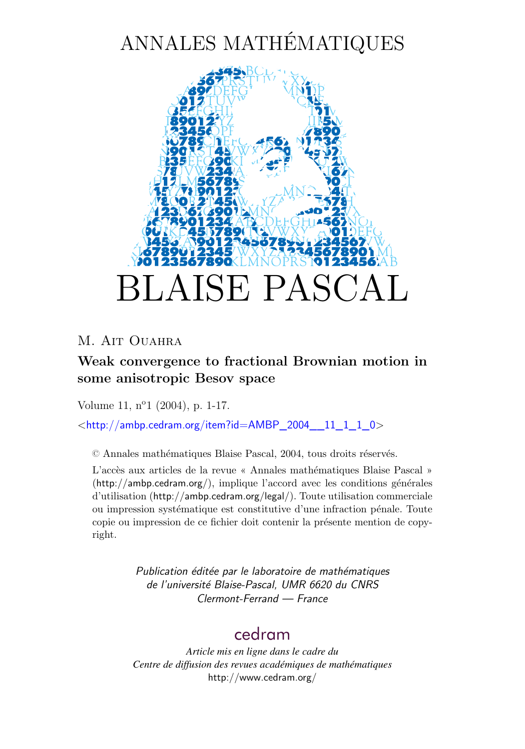# ANNALES MATHÉMATIQUES



### M. AIT OUAHRA

### **Weak convergence to fractional Brownian motion in some anisotropic Besov space**

Volume 11, n<sup>o</sup>1 (2004), p. 1[-17.](#page-15-0)

 $\lt$ [http://ambp.cedram.org/item?id=AMBP\\_2004\\_\\_11\\_1\\_1\\_0](http://ambp.cedram.org/item?id=AMBP_2004__11_1_1_0)>

© Annales mathématiques Blaise Pascal, 2004, tous droits réservés.

L'accès aux articles de la revue « Annales mathématiques Blaise Pascal » (<http://ambp.cedram.org/>), implique l'accord avec les conditions générales d'utilisation (<http://ambp.cedram.org/legal/>). Toute utilisation commerciale ou impression systématique est constitutive d'une infraction pénale. Toute copie ou impression de ce fichier doit contenir la présente mention de copyright.

> *Publication éditée par le laboratoire de mathématiques de l'université Blaise-Pascal, UMR 6620 du CNRS Clermont-Ferrand — France*

## [cedram](http://www.cedram.org/)

*Article mis en ligne dans le cadre du Centre de diffusion des revues académiques de mathématiques* <http://www.cedram.org/>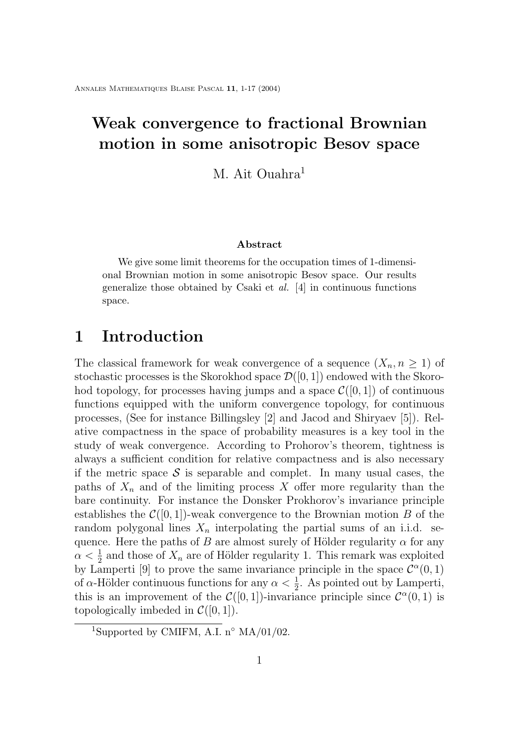## **Weak convergence to fractional Brownian motion in some anisotropic Besov space**

M. Ait Ouahra<sup>1</sup>

#### **Abstract**

We give some limit theorems for the occupation times of 1-dimensional Brownian motion in some anisotropic Besov space. Our results generalize those obtained by Csaki et *al.* [\[4\]](#page-15-0) in continuous functions space.

### **1 Introduction**

The classical framework for weak convergence of a sequence  $(X_n, n \geq 1)$  of stochastic processes is the Skorokhod space  $\mathcal{D}([0,1])$  endowed with the Skorohod topology, for processes having jumps and a space  $\mathcal{C}([0,1])$  of continuous functions equipped with the uniform convergence topology, for continuous processes, (See for instance Billingsley [\[2\]](#page-15-0) and Jacod and Shiryaev [\[5\]](#page-16-0)). Relative compactness in the space of probability measures is a key tool in the study of weak convergence. According to Prohorov's theorem, tightness is always a sufficient condition for relative compactness and is also necessary if the metric space  $S$  is separable and complet. In many usual cases, the paths of  $X_n$  and of the limiting process X offer more regularity than the bare continuity. For instance the Donsker Prokhorov's invariance principle establishes the  $\mathcal{C}([0,1])$ -weak convergence to the Brownian motion B of the random polygonal lines  $X_n$  interpolating the partial sums of an i.i.d. sequence. Here the paths of B are almost surely of Hölder regularity  $\alpha$  for any  $\alpha < \frac{1}{2}$  and those of  $X_n$  are of Hölder regularity 1. This remark was exploited by Lamperti [\[9\]](#page-16-0) to prove the same invariance principle in the space  $\mathcal{C}^{\alpha}(0,1)$ of  $\alpha$ -Hölder continuous functions for any  $\alpha < \frac{1}{2}$ . As pointed out by Lamperti, this is an improvement of the  $\mathcal{C}([0,1])$ -invariance principle since  $\mathcal{C}^{\alpha}(0,1)$  is topologically imbeded in  $\mathcal{C}([0,1])$ .

<sup>&</sup>lt;sup>1</sup>Supported by CMIFM, A.I. n<sup>o</sup> MA/01/02.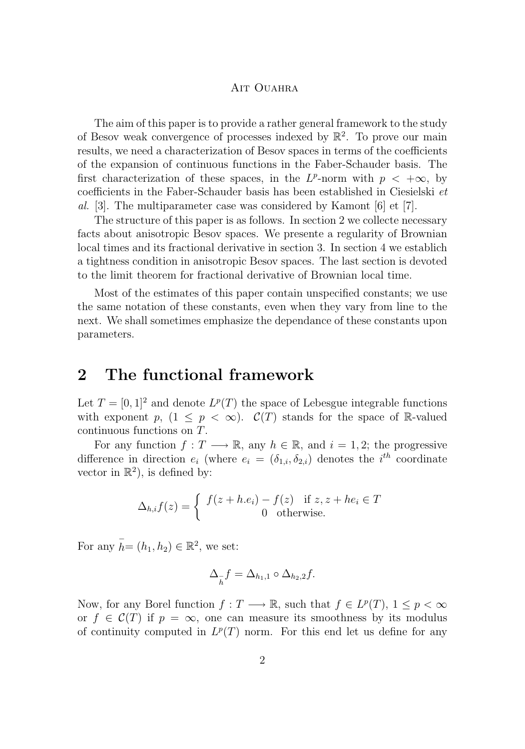The aim of this paper is to provide a rather general framework to the study of Besov weak convergence of processes indexed by  $\mathbb{R}^2$ . To prove our main results, we need a characterization of Besov spaces in terms of the coefficients of the expansion of continuous functions in the Faber-Schauder basis. The first characterization of these spaces, in the  $L^p$ -norm with  $p < +\infty$ , by coefficients in the Faber-Schauder basis has been established in Ciesielski *et al.* [\[3\]](#page-15-0). The multiparameter case was considered by Kamont [\[6\]](#page-16-0) et [\[7\]](#page-16-0).

The structure of this paper is as follows. In section 2 we collecte necessary facts about anisotropic Besov spaces. We presente a regularity of Brownian local times and its fractional derivative in section 3. In section 4 we establich a tightness condition in anisotropic Besov spaces. The last section is devoted to the limit theorem for fractional derivative of Brownian local time.

Most of the estimates of this paper contain unspecified constants; we use the same notation of these constants, even when they vary from line to the next. We shall sometimes emphasize the dependance of these constants upon parameters.

### **2 The functional framework**

Let  $T = [0, 1]^2$  and denote  $L^p(T)$  the space of Lebesgue integrable functions with exponent p,  $(1 \leq p < \infty)$ .  $\mathcal{C}(T)$  stands for the space of R-valued continuous functions on T.

For any function  $f: T \longrightarrow \mathbb{R}$ , any  $h \in \mathbb{R}$ , and  $i = 1, 2$ ; the progressive difference in direction  $e_i$  (where  $e_i = (\delta_{1,i}, \delta_{2,i})$  denotes the  $i^{th}$  coordinate vector in  $\mathbb{R}^2$ , is defined by:

$$
\Delta_{h,i}f(z) = \begin{cases} f(z+h.e_i) - f(z) & \text{if } z, z + he_i \in T \\ 0 & \text{otherwise.} \end{cases}
$$

For any  $\bar{h} = (h_1, h_2) \in \mathbb{R}^2$ , we set:

$$
\Delta_{\overline{h}}f = \Delta_{h_1,1} \circ \Delta_{h_2,2}f.
$$

Now, for any Borel function  $f: T \longrightarrow \mathbb{R}$ , such that  $f \in L^p(T)$ ,  $1 \leq p < \infty$ or  $f \in \mathcal{C}(T)$  if  $p = \infty$ , one can measure its smoothness by its modulus of continuity computed in  $L^p(T)$  norm. For this end let us define for any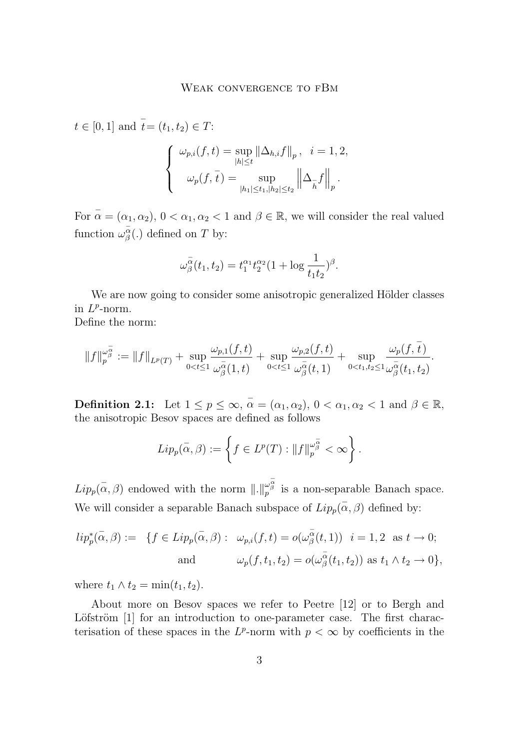$$
t \in [0, 1] \text{ and } \bar{t} = (t_1, t_2) \in T:
$$
  

$$
\begin{cases} \omega_{p,i}(f, t) = \sup_{|h| \le t} ||\Delta_{h,i}f||_p, & i = 1, 2, \\ \omega_p(f, \bar{t}) = \sup_{|h_1| \le t_1, |h_2| \le t_2} ||\Delta_{\bar{h}}f||_p. \end{cases}
$$

For  $\bar{\alpha} = (\alpha_1, \alpha_2), 0 < \alpha_1, \alpha_2 < 1$  and  $\beta \in \mathbb{R}$ , we will consider the real valued function  $\omega_{\beta}^{\alpha}$ (.) defined on T by:

$$
\omega_{\beta}^{\overline{\alpha}}(t_1, t_2) = t_1^{\alpha_1} t_2^{\alpha_2} (1 + \log \frac{1}{t_1 t_2})^{\beta}.
$$

We are now going to consider some anisotropic generalized Hölder classes in  $L^p$ -norm.

Define the norm:

$$
\|f\|_p^{\omega_{\beta}^{\overline{\alpha}}}\mathrel{\mathop:}= \|f\|_{L^p(T)}+\sup_{0
$$

**Definition 2.1:** Let  $1 \leq p \leq \infty$ ,  $\overline{\alpha} = (\alpha_1, \alpha_2)$ ,  $0 < \alpha_1, \alpha_2 < 1$  and  $\beta \in \mathbb{R}$ , the anisotropic Besov spaces are defined as follows

$$
Lip_p(\bar{\alpha}, \beta) := \left\{ f \in L^p(T) : ||f||_p^{\omega_{\beta}^{\bar{\alpha}}} < \infty \right\}.
$$

 $Lip_p(\bar{\alpha},\beta)$  endowed with the norm  $\|.\|_p^{\omega_{\beta}^{\bar{\alpha}}}$  is a non-separable Banach space. We will consider a separable Banach subspace of  $Lip_p(\bar{\alpha}, \beta)$  defined by:

$$
lip_p^*(\bar{\alpha}, \beta) := \{ f \in Lip_p(\bar{\alpha}, \beta) : \omega_{p,i}(f, t) = o(\omega_{\beta}^{\bar{\alpha}}(t, 1)) \mid i = 1, 2 \text{ as } t \to 0; \text{ and } \omega_p(f, t_1, t_2) = o(\omega_{\beta}^{\bar{\alpha}}(t_1, t_2)) \text{ as } t_1 \wedge t_2 \to 0 \},
$$

where  $t_1 \wedge t_2 = \min(t_1, t_2)$ .

About more on Besov spaces we refer to Peetre [\[12\]](#page-16-0) or to Bergh and Löfström [\[1\]](#page-15-0) for an introduction to one-parameter case. The first characterisation of these spaces in the  $L^p$ -norm with  $p < \infty$  by coefficients in the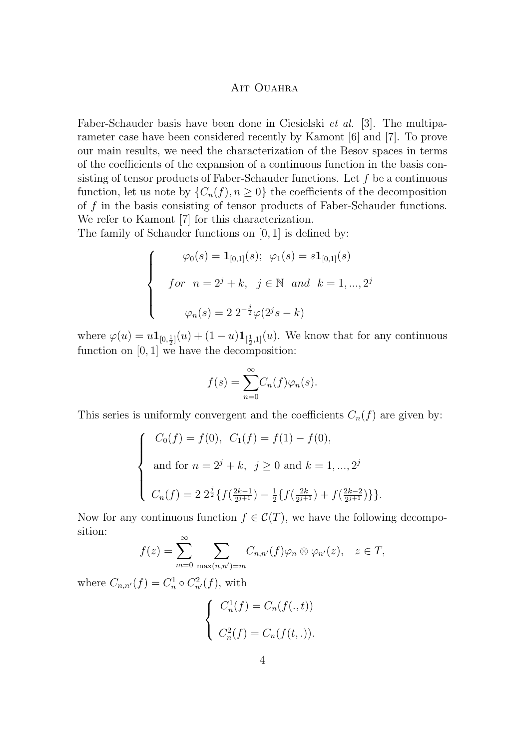Faber-Schauder basis have been done in Ciesielski *et al.* [\[3\]](#page-15-0). The multiparameter case have been considered recently by Kamont [\[6\]](#page-16-0) and [\[7\]](#page-16-0). To prove our main results, we need the characterization of the Besov spaces in terms of the coefficients of the expansion of a continuous function in the basis consisting of tensor products of Faber-Schauder functions. Let  $f$  be a continuous function, let us note by  $\{C_n(f), n \geq 0\}$  the coefficients of the decomposition of  $f$  in the basis consisting of tensor products of Faber-Schauder functions. We refer to Kamont [\[7\]](#page-16-0) for this characterization.

The family of Schauder functions on [0, 1] is defined by:

$$
\begin{cases}\n\varphi_0(s) = \mathbf{1}_{[0,1]}(s); \ \varphi_1(s) = s \mathbf{1}_{[0,1]}(s) \\
for \ n = 2^j + k, \ j \in \mathbb{N} \ and \ k = 1, ..., 2^j \\
\varphi_n(s) = 2 \ 2^{-\frac{j}{2}} \varphi(2^j s - k)\n\end{cases}
$$

where  $\varphi(u) = u \mathbf{1}_{[0,\frac{1}{2}]}(u) + (1-u)\mathbf{1}_{[\frac{1}{2},1]}(u)$ . We know that for any continuous function on [0, 1] we have the decomposition:

$$
f(s) = \sum_{n=0}^{\infty} C_n(f)\varphi_n(s).
$$

This series is uniformly convergent and the coefficients  $C_n(f)$  are given by:

$$
\begin{cases}\nC_0(f) = f(0), & C_1(f) = f(1) - f(0), \\
\text{and for } n = 2^j + k, & j \ge 0 \text{ and } k = 1, ..., 2^j \\
C_n(f) = 2 \frac{2^j}{2} \{ f(\frac{2k-1}{2^{j+1}}) - \frac{1}{2} \{ f(\frac{2k}{2^{j+1}}) + f(\frac{2k-2}{2^{j+1}}) \} \}.\n\end{cases}
$$

Now for any continuous function  $f \in \mathcal{C}(T)$ , we have the following decomposition:

$$
f(z) = \sum_{m=0}^{\infty} \sum_{\max(n,n')=m} C_{n,n'}(f)\varphi_n \otimes \varphi_{n'}(z), \quad z \in T,
$$

where  $C_{n,n'}(f) = C_n^1 \circ C_{n'}^2(f)$ , with

$$
\begin{cases}\nC_n^1(f) = C_n(f(.,t)) \\
C_n^2(f) = C_n(f(t,.)).\n\end{cases}
$$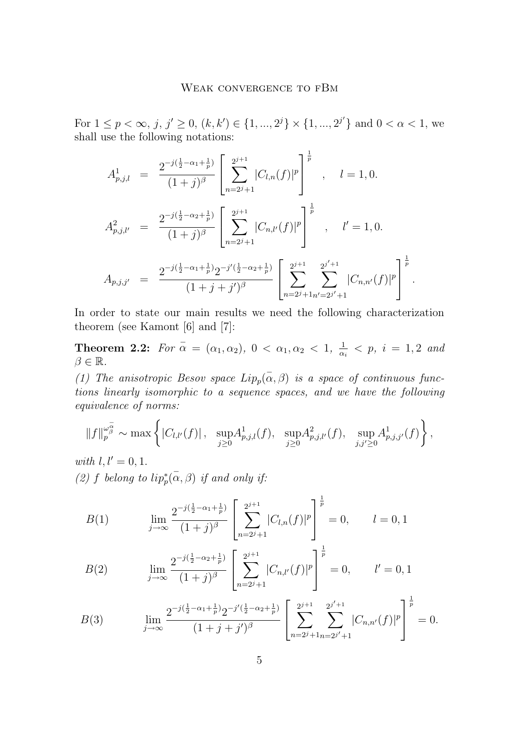<span id="page-5-0"></span>For  $1 \leq p < \infty$ ,  $j, j' \geq 0$ ,  $(k, k') \in \{1, ..., 2^{j}\} \times \{1, ..., 2^{j'}\}$  and  $0 < \alpha < 1$ , we shall use the following notations:

$$
A_{p,j,l}^{1} = \frac{2^{-j(\frac{1}{2}-\alpha_{1}+\frac{1}{p})}}{(1+j)^{\beta}} \left[ \sum_{n=2^{j}+1}^{2^{j+1}} |C_{l,n}(f)|^{p} \right]^{\frac{1}{p}}, \quad l = 1, 0.
$$
  

$$
A_{p,j,l'}^{2} = \frac{2^{-j(\frac{1}{2}-\alpha_{2}+\frac{1}{p})}}{(1+j)^{\beta}} \left[ \sum_{n=2^{j}+1}^{2^{j+1}} |C_{n,l'}(f)|^{p} \right]^{\frac{1}{p}}, \quad l' = 1, 0.
$$
  

$$
A_{p,j,j'} = \frac{2^{-j(\frac{1}{2}-\alpha_{1}+\frac{1}{p})}2^{-j'(\frac{1}{2}-\alpha_{2}+\frac{1}{p})}}{(1+j+j')^{\beta}} \left[ \sum_{n=2^{j}+1}^{2^{j+1}} \sum_{n=2^{j}+1}^{2^{j'+1}} |C_{n,n'}(f)|^{p} \right]^{\frac{1}{p}}
$$

In order to state our main results we need the following characterization theorem (see Kamont [\[6\]](#page-16-0) and [\[7\]](#page-16-0):

.

**Theorem 2.2:** For  $\bar{\alpha} = (\alpha_1, \alpha_2), 0 < \alpha_1, \alpha_2 < 1, \frac{1}{\alpha_i} < p, i = 1, 2$  and  $\beta \in \mathbb{R}$ .

(1) The anisotropic Besov space  $Lip_p(\bar{\alpha}, \beta)$  *is a space of continuous functions linearly isomorphic to a sequence spaces, and we have the following equivalence of norms:*

$$
||f||_p^{\omega_{\beta}^{\overline{\alpha}}}\sim \max\left\{|C_{l,l'}(f)|\,,\ \sup_{j\geq 0} A_{p,j,l}^1(f),\ \sup_{j\geq 0} A_{p,j,l'}^2(f),\ \sup_{j,j'\geq 0} A_{p,j,j'}^1(f)\right\},\
$$

*with*  $l, l' = 0, 1$ . (2) f belong to  $lip_p^*(\overline{\alpha}, \beta)$  *if and only if:* 

$$
B(1) \qquad \lim_{j \to \infty} \frac{2^{-j(\frac{1}{2} - \alpha_1 + \frac{1}{p})}}{(1+j)^{\beta}} \left[ \sum_{n=2^{j}+1}^{2^{j+1}} |C_{l,n}(f)|^{p} \right]^{\frac{1}{p}} = 0, \qquad l = 0, 1
$$

$$
B(2) \qquad \lim_{j \to \infty} \frac{2^{-j(\frac{1}{2} - \alpha_2 + \frac{1}{p})}}{(1+j)^{\beta}} \left[ \sum_{n=2^{j}+1}^{2^{j+1}} |C_{n,l'}(f)|^{p} \right]^{\frac{1}{p}} = 0, \qquad l' = 0, 1
$$

$$
B(3) \qquad \lim_{j \to \infty} \frac{2^{-j(\frac{1}{2} - \alpha_1 + \frac{1}{p})} 2^{-j'(\frac{1}{2} - \alpha_2 + \frac{1}{p})}}{(1+j+j')^{\beta}} \left[ \sum_{n=2^{j}+1} 2^{j'+1} |C_{n,n'}(f)|^{p} \right]^{\frac{1}{p}} = 0.
$$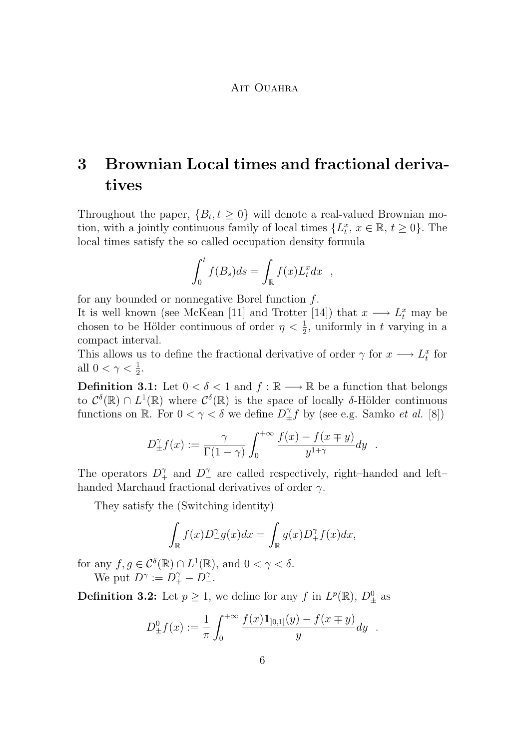## **3 Brownian Local times and fractional derivatives**

Throughout the paper,  ${B_t, t \geq 0}$  will denote a real-valued Brownian motion, with a jointly continuous family of local times  $\{L_t^x, x \in \mathbb{R}, t \geq 0\}$ . The local times satisfy the so called occupation density formula

$$
\int_0^t f(B_s)ds = \int_{\mathbb{R}} f(x)L_t^x dx ,
$$

for any bounded or nonnegative Borel function  $f$ .

It is well known (see McKean [\[11\]](#page-16-0) and Trotter [\[14\]](#page-16-0)) that  $x \longrightarrow L_t^x$  may be chosen to be Hölder continuous of order  $\eta < \frac{1}{2}$ , uniformly in t varying in a compact interval.

This allows us to define the fractional derivative of order  $\gamma$  for  $x \longrightarrow L_t^x$  for all  $0 < \gamma < \frac{1}{2}$ .

**Definition 3.1:** Let  $0 < \delta < 1$  and  $f : \mathbb{R} \longrightarrow \mathbb{R}$  be a function that belongs to  $\mathcal{C}^{\delta}(\mathbb{R}) \cap L^{1}(\mathbb{R})$  where  $\mathcal{C}^{\delta}(\mathbb{R})$  is the space of locally  $\delta$ -Hölder continuous functions on  $\mathbb{R}$ . For  $0 < \gamma < \delta$  we define  $D_{\pm}^{\gamma} f$  by (see e.g. Samko *et al.* [\[8\]](#page-16-0))

$$
D_{\pm}^{\gamma} f(x) := \frac{\gamma}{\Gamma(1-\gamma)} \int_0^{+\infty} \frac{f(x) - f(x \mp y)}{y^{1+\gamma}} dy.
$$

The operators  $D_+^{\gamma}$  and  $D_-^{\gamma}$  are called respectively, right–handed and left– handed Marchaud fractional derivatives of order  $\gamma$ .

They satisfy the (Switching identity)

$$
\int_{\mathbb{R}} f(x) D^{\gamma}_{-} g(x) dx = \int_{\mathbb{R}} g(x) D^{\gamma}_{+} f(x) dx,
$$

for any  $f, g \in C^{\delta}(\mathbb{R}) \cap L^1(\mathbb{R})$ , and  $0 < \gamma < \delta$ . We put  $D^{\gamma} := D^{\gamma}_+ - D^{\gamma}_-$ .

**Definition 3.2:** Let  $p \geq 1$ , we define for any f in  $L^p(\mathbb{R})$ ,  $D^0_{\pm}$  as

$$
D_{\pm}^{0} f(x) := \frac{1}{\pi} \int_{0}^{+\infty} \frac{f(x) \mathbf{1}_{[0,1]}(y) - f(x \mp y)}{y} dy .
$$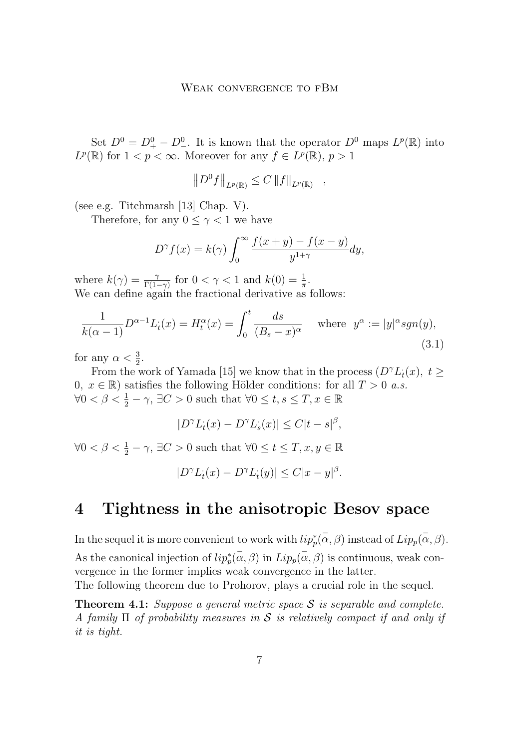<span id="page-7-0"></span>Set  $D^0 = D^0_+ - D^0_-$ . It is known that the operator  $D^0$  maps  $L^p(\mathbb{R})$  into  $L^p(\mathbb{R})$  for  $1 < p < \infty$ . Moreover for any  $f \in L^p(\mathbb{R}), p > 1$ 

$$
||D^0f||_{L^p(\mathbb{R})} \leq C ||f||_{L^p(\mathbb{R})} ,
$$

(see e.g. Titchmarsh [\[13\]](#page-16-0) Chap. V).

Therefore, for any  $0 \leq \gamma < 1$  we have

$$
D^{\gamma} f(x) = k(\gamma) \int_0^{\infty} \frac{f(x+y) - f(x-y)}{y^{1+\gamma}} dy,
$$

where  $k(\gamma) = \frac{\gamma}{\Gamma(1-\gamma)}$  for  $0 < \gamma < 1$  and  $k(0) = \frac{1}{\pi}$ . We can define again the fractional derivative as follows:

$$
\frac{1}{k(\alpha-1)}D^{\alpha-1}L_i(x) = H_i^{\alpha}(x) = \int_0^t \frac{ds}{(B_s - x)^{\alpha}} \quad \text{where} \quad y^{\alpha} := |y|^{\alpha} sgn(y),\tag{3.1}
$$

for any  $\alpha < \frac{3}{2}$ .

From the work of Yamada [\[15\]](#page-16-0) we know that in the process  $(D^{\gamma}L_i(x), t \geq 0)$ 0,  $x \in \mathbb{R}$ ) satisfies the following Hölder conditions: for all  $T > 0$  *a.s.*  $\forall 0 < \beta < \frac{1}{2} - \gamma$ ,  $\exists C > 0$  such that  $\forall 0 \le t, s \le T, x \in \mathbb{R}$ 

$$
|D^{\gamma}L_t(x) - D^{\gamma}L_s(x)| \le C|t - s|^{\beta},
$$

 $\forall 0 < \beta < \frac{1}{2} - \gamma$ ,  $\exists C > 0$  such that  $\forall 0 \le t \le T, x, y \in \mathbb{R}$ 

$$
|D^{\gamma}L_t(x) - D^{\gamma}L_t(y)| \le C|x - y|^{\beta}.
$$

### **4 Tightness in the anisotropic Besov space**

In the sequel it is more convenient to work with  $lip_p^*(\overline{\alpha}, \beta)$  instead of  $Lip_p(\overline{\alpha}, \beta)$ . As the canonical injection of  $lip_p^*(\alpha, \beta)$  in  $Lip_p(\alpha, \beta)$  is continuous, weak convergence in the former implies weak convergence in the latter. The following theorem due to Prohorov, plays a crucial role in the sequel.

**Theorem 4.1:** *Suppose a general metric space* S *is separable and complete. A family* Π *of probability measures in* S *is relatively compact if and only if it is tight.*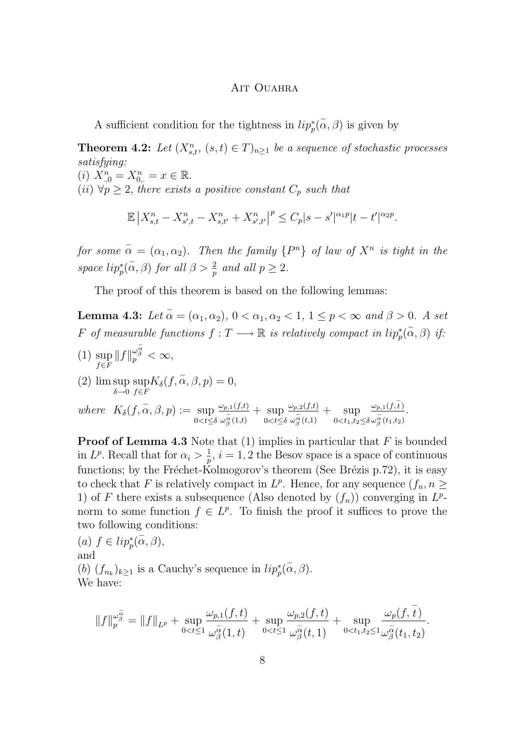<span id="page-8-0"></span>A sufficient condition for the tightness in  $lip_p^*(\alpha, \beta)$  is given by

**Theorem 4.2:** Let  $(X_{s,t}^n, (s,t) \in T)_{n \geq 1}$  be a sequence of stochastic processes *satisfying:* (*i*)  $X_{.,0}^n = X_{0,.}^n = x \in \mathbb{R}$ .

 $(ii) \forall p \geq 2$ , there exists a positive constant  $C_p$  such that

$$
\mathbb{E}|X_{s,t}^n - X_{s',t}^n - X_{s,t'}^n + X_{s',t'}^n|^p \leq C_p|s-s'|^{\alpha_1 p}|t-t'|^{\alpha_2 p}.
$$

*for some*  $\bar{\alpha} = (\alpha_1, \alpha_2)$ *. Then the family*  $\{P^n\}$  *of law of*  $X^n$  *is tight in the space*  $lip_p^*(\overline{\alpha}, \beta)$  *for all*  $\beta > \frac{2}{p}$  *and all*  $p \geq 2$ *.* 

The proof of this theorem is based on the following lemmas:

**Lemma 4.3:** *Let*  $\bar{\alpha} = (\alpha_1, \alpha_2), 0 < \alpha_1, \alpha_2 < 1, 1 \le p < \infty$  and  $\beta > 0$ . A set F of measurable functions  $f: T \longrightarrow \mathbb{R}$  is relatively compact in  $lip_p^*(\overline{\alpha}, \beta)$  if:

(1) sup<br> $f \in F$  $\|f\|_p^{\omega_\beta^{\overline\alpha}} < \infty,$ (2)  $\limsup_{\delta \to 0}$ sup  $\sup_{f\in F} K_{\delta}(f, \overline{\alpha}, \beta, p) = 0,$ 

where 
$$
K_{\delta}(f, \overline{\alpha}, \beta, p) := \sup_{0 < t \leq \delta} \frac{\omega_{p,1}(f,t)}{\omega_{\beta}^{\overline{\alpha}}(1,t)} + \sup_{0 < t \leq \delta} \frac{\omega_{p,2}(f,t)}{\omega_{\beta}^{\overline{\alpha}}(t,1)} + \sup_{0 < t_1, t_2 \leq \delta} \frac{\omega_{p,1}(f,\overline{t})}{\omega_{\beta}^{\overline{\alpha}}(t_1,t_2)}.
$$

**Proof of Lemma 4.3** Note that (1) implies in particular that F is bounded in  $L^p$ . Recall that for  $\alpha_i > \frac{1}{p}$ ,  $i = 1, 2$  the Besov space is a space of continuous functions; by the Fréchet-Kolmogorov's theorem (See Brézis p.72), it is easy to check that F is relatively compact in  $L^p$ . Hence, for any sequence  $(f_n, n \geq$ 1) of F there exists a subsequence (Also denoted by  $(f_n)$ ) converging in  $L^p$ norm to some function  $f \in L^p$ . To finish the proof it suffices to prove the two following conditions:

(a)  $f \in lip_p^*(\alpha, \beta)$ , and (b)  $(f_{n_k})_{k\geq 1}$  is a Cauchy's sequence in  $lip_p^*(\alpha, \beta)$ . We have:

$$
||f||_p^{\omega_{\beta}^{\overline{\alpha}}} = ||f||_{L^p} + \sup_{0 < t \leq 1} \frac{\omega_{p,1}(f,t)}{\omega_{\beta}^{\overline{\alpha}}(1,t)} + \sup_{0 < t \leq 1} \frac{\omega_{p,2}(f,t)}{\omega_{\beta}^{\overline{\alpha}}(t,1)} + \sup_{0 < t_1,t_2 \leq 1} \frac{\omega_p(f,\overline{t})}{\omega_{\beta}^{\overline{\alpha}}(t_1,t_2)}.
$$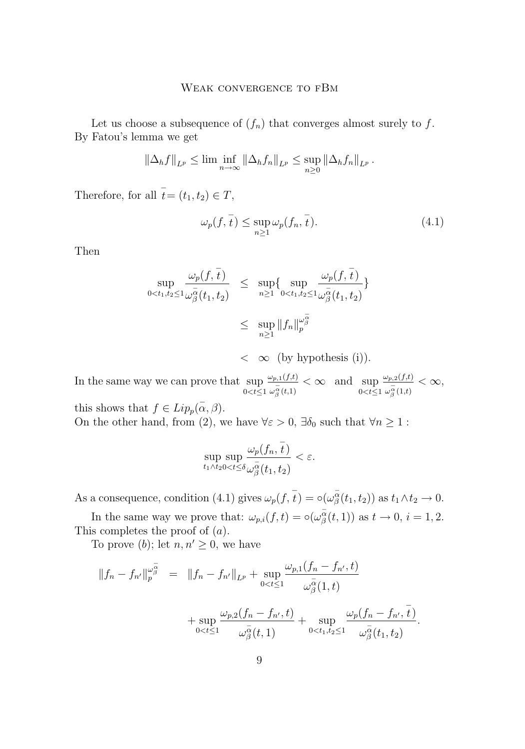Let us choose a subsequence of  $(f_n)$  that converges almost surely to f. By Fatou's lemma we get

$$
\|\Delta_h f\|_{L^p} \leq \lim \inf_{n \to \infty} \|\Delta_h f_n\|_{L^p} \leq \sup_{n \geq 0} \|\Delta_h f_n\|_{L^p}.
$$

Therefore, for all  $\bar{t} = (t_1, t_2) \in T$ ,

$$
\omega_p(f, \overline{t}) \le \sup_{n \ge 1} \omega_p(f_n, \overline{t}). \tag{4.1}
$$

Then

$$
\sup_{0 < t_1, t_2 \le 1} \frac{\omega_p(f, \overline{t})}{\omega_{\beta}^{\overline{\alpha}}(t_1, t_2)} \le \sup_{n \ge 1} \{ \sup_{0 < t_1, t_2 \le 1} \frac{\omega_p(f, \overline{t})}{\omega_{\beta}^{\overline{\alpha}}(t_1, t_2)} \} \\
\le \sup_{n \ge 1} \|f_n\|_p^{\omega_{\beta}^{\overline{\alpha}}}\n< \infty \text{ (by hypothesis (i))}.
$$

In the same way we can prove that  $\sup_{0 \le t \le 1}$  $\omega_{p,1}(f,t)$  $\frac{\omega_{p,1}(J,t)}{\omega_{\beta}^{\alpha}(t,1)} < \infty$  and sup  $0 < t \leq 1$  $\omega_{p,2}(f,t)$  $\frac{\omega_{p,2}(J,t)}{\omega_\beta^\alpha(1,t)} < \infty,$ 

this shows that  $f \in Lip_p(\overline{\alpha}, \beta)$ . On the other hand, from (2), we have  $\forall \varepsilon > 0$ ,  $\exists \delta_0$  such that  $\forall n \geq 1$ :

$$
\sup_{t_1\wedge t_2 0
$$

As a consequence, condition (4.1) gives  $\omega_p(f, \overline{t}) = \circ(\omega_\beta^{\overline{\alpha}}(t_1, t_2))$  as  $t_1 \wedge t_2 \to 0$ .

In the same way we prove that:  $\omega_{p,i}(f,t) = \circ(\omega_{\beta}^{\alpha}(t,1))$  as  $t \to 0, i = 1,2$ . This completes the proof of (a).

To prove (b); let  $n, n' \geq 0$ , we have

$$
||f_{n} - f_{n'}||_{p}^{\omega_{\beta}^{\overline{\alpha}}} = ||f_{n} - f_{n'}||_{L^{p}} + \sup_{0 < t \leq 1} \frac{\omega_{p,1}(f_{n} - f_{n'}, t)}{\omega_{\beta}^{\overline{\alpha}}(1, t)} + \sup_{0 < t \leq 1} \frac{\omega_{p,2}(f_{n} - f_{n'}, t)}{\omega_{\beta}^{\overline{\alpha}}(t, 1)} + \sup_{0 < t_{1}, t_{2} \leq 1} \frac{\omega_{p}(f_{n} - f_{n'}, \overline{t})}{\omega_{\beta}^{\overline{\alpha}}(t_{1}, t_{2})}.
$$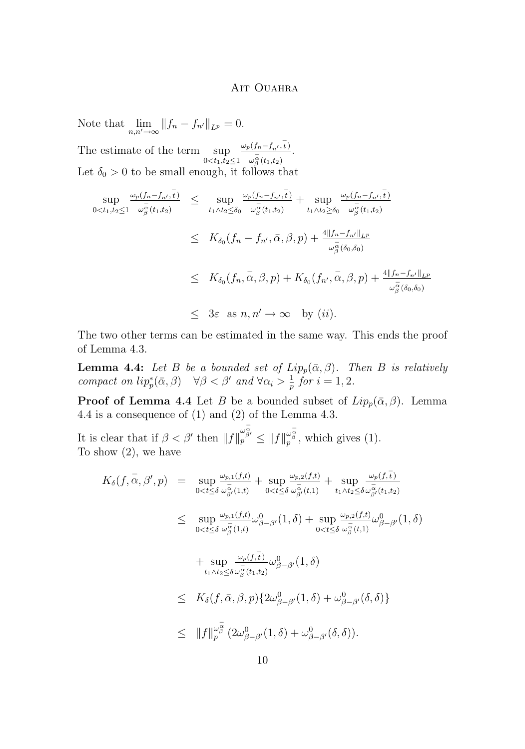.

Note that  $\lim_{n,n'\to\infty} \|f_n - f_{n'}\|_{L^p} = 0.$ The estimate of the term sup  $0 < t_1, t_2 \leq 1$  $\omega_p(f_n-f_{n'},\overline{t})$  $\omega_{\beta}^{\alpha}(t_1,t_2)$ Let  $\delta_0 > 0$  to be small enough, it follows that

$$
\sup_{0 < t_1, t_2 \le 1} \frac{\omega_p(f_n - f_{n'}, \overline{t})}{\omega_{\beta}^{\overline{\alpha}}(t_1, t_2)} \le \sup_{t_1 \wedge t_2 \le \delta_0} \frac{\omega_p(f_n - f_{n'}, \overline{t})}{\omega_{\beta}^{\overline{\alpha}}(t_1, t_2)} + \sup_{t_1 \wedge t_2 \ge \delta_0} \frac{\omega_p(f_n - f_{n'}, \overline{t})}{\omega_{\beta}^{\overline{\alpha}}(t_1, t_2)}
$$
\n
$$
\le K_{\delta_0}(f_n - f_{n'}, \overline{\alpha}, \beta, p) + \frac{4||f_n - f_{n'}||_{L^p}}{\omega_{\beta}^{\overline{\alpha}}(\delta_0, \delta_0)}
$$
\n
$$
\le K_{\delta_0}(f_n, \overline{\alpha}, \beta, p) + K_{\delta_0}(f_{n'}, \overline{\alpha}, \beta, p) + \frac{4||f_n - f_{n'}||_{L^p}}{\omega_{\beta}^{\overline{\alpha}}(\delta_0, \delta_0)}
$$
\n
$$
\le 3\varepsilon \text{ as } n, n' \to \infty \text{ by } (ii).
$$

The two other terms can be estimated in the same way. This ends the proof of Lemma [4.3.](#page-8-0)

**Lemma 4.4:** *Let* B *be a bounded set of*  $Lip_p(\bar{\alpha}, \beta)$ *. Then* B *is relatively compact on*  $lip_p^*(\bar{\alpha}, \beta)$   $\forall \beta < \beta'$  *and*  $\forall \alpha_i > \frac{1}{p}$  *for*  $i = 1, 2$ *.* 

**Proof of Lemma 4.4** Let B be a bounded subset of  $Lip_p(\bar{\alpha}, \beta)$ . Lemma 4.4 is a consequence of (1) and (2) of the Lemma [4.3.](#page-8-0)

It is clear that if  $\beta < \beta'$  then  $||f||_p^{\omega_{\beta'}^{\overline{\alpha}}}\leq ||f||_p^{\omega_{\beta}^{\overline{\alpha}}},$  which gives (1). To show (2), we have

$$
K_{\delta}(f, \overline{\alpha}, \beta', p) = \sup_{0 < t \leq \delta} \frac{\omega_{p,1}(f,t)}{\omega_{\beta'}^{\overline{\alpha}}(1,t)} + \sup_{0 < t \leq \delta} \frac{\omega_{p,2}(f,t)}{\omega_{\beta'}^{\overline{\alpha}}(t,1)} + \sup_{t_1 \wedge t_2 \leq \delta} \frac{\omega_{p}(f,\overline{t})}{\omega_{\beta'}^{\overline{\alpha}}(t_1,t_2)}
$$
  
\n
$$
\leq \sup_{0 < t \leq \delta} \frac{\omega_{p,1}(f,t)}{\omega_{\beta}^{\overline{\alpha}}(1,t)} \omega_{\beta-\beta'}^0(1,\delta) + \sup_{0 < t \leq \delta} \frac{\omega_{p,2}(f,t)}{\omega_{\beta}^{\overline{\alpha}}(t,1)} \omega_{\beta-\beta'}^0(1,\delta)
$$
  
\n
$$
+ \sup_{t_1 \wedge t_2 \leq \delta} \frac{\omega_{p}(f,\overline{t})}{\omega_{\beta}^{\overline{\alpha}}(t_1,t_2)} \omega_{\beta-\beta'}^0(1,\delta)
$$
  
\n
$$
\leq K_{\delta}(f, \overline{\alpha}, \beta, p) \{2\omega_{\beta-\beta'}^0(1,\delta) + \omega_{\beta-\beta'}^0(\delta,\delta)\}
$$
  
\n
$$
\leq ||f||_{p}^{\omega_{\beta}^{\overline{\alpha}}}(2\omega_{\beta-\beta'}^0(1,\delta) + \omega_{\beta-\beta'}^0(\delta,\delta)).
$$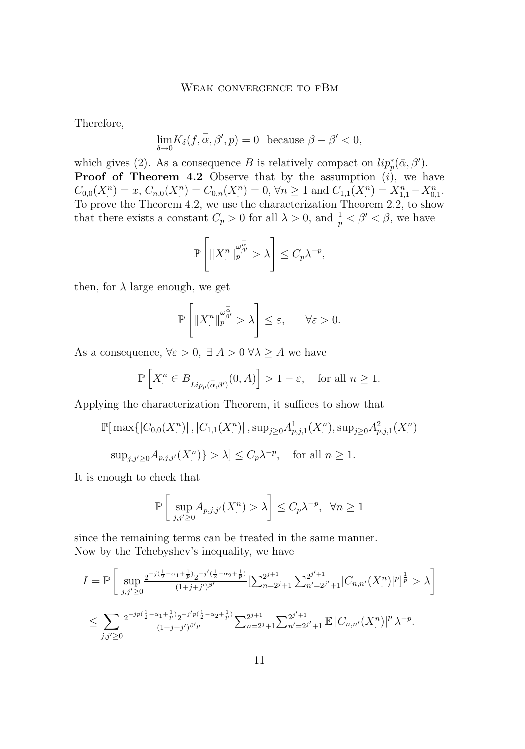#### WEAK CONVERGENCE TO FBM

Therefore,

$$
\lim_{\delta \to 0} K_{\delta}(f, \bar{\alpha}, \beta', p) = 0 \text{ because } \beta - \beta' < 0,
$$

which gives (2). As a consequence B is relatively compact on  $lip_p^*(\bar{\alpha}, \beta')$ . **Proof of Theorem [4.2](#page-8-0)** Observe that by the assumption  $(i)$ , we have  $C_{0,0}(X^n) = x, C_{n,0}(X^n) = C_{0,n}(X^n) = 0, \forall n \ge 1 \text{ and } C_{1,1}(X^n) = X_{1,1}^n - X_{0,1}^n.$ To prove the Theorem [4.2,](#page-8-0) we use the characterization Theorem [2.2,](#page-5-0) to show that there exists a constant  $C_p > 0$  for all  $\lambda > 0$ , and  $\frac{1}{p} < \beta' < \beta$ , we have

$$
\mathbb{P}\left[\|X_{\cdot}^{n}\|_{p}^{\omega_{\beta}^{\overline{\alpha}}} > \lambda\right] \leq C_{p}\lambda^{-p},
$$

then, for  $\lambda$  large enough, we get

$$
\mathbb{P}\left[\|X_{.}^{n}\|_{p}^{\omega_{\beta}^{\overline{\alpha}}} > \lambda\right] \leq \varepsilon, \qquad \forall \varepsilon > 0.
$$

As a consequence,  $\forall \varepsilon > 0, \exists A > 0 \ \forall \lambda \geq A$  we have

$$
\mathbb{P}\left[X_{.}^{n} \in B_{Lip_{p}(\overline{\alpha},\beta')}(0,A)\right] > 1-\varepsilon, \text{ for all } n \ge 1.
$$

Applying the characterization Theorem, it suffices to show that

$$
\mathbb{P}[\max\{|C_{0,0}(X_{\cdot}^n)|, |C_{1,1}(X_{\cdot}^n)|, \sup_{j\geq 0} A_{p,j,1}^1(X_{\cdot}^n), \sup_{j\geq 0} A_{p,j,1}^2(X_{\cdot}^n)
$$
  

$$
\sup_{j,j'\geq 0} A_{p,j,j'}(X_{\cdot}^n)\} > \lambda] \leq C_p \lambda^{-p}, \text{ for all } n \geq 1.
$$

It is enough to check that

$$
\mathbb{P}\left[\sup_{j,j'\geq 0} A_{p,j,j'}(X^n) > \lambda\right] \leq C_p \lambda^{-p}, \ \forall n \geq 1
$$

since the remaining terms can be treated in the same manner. Now by the Tchebyshev's inequality, we have

$$
I = \mathbb{P}\left[\sup_{j,j'\geq 0} \frac{2^{-j(\frac{1}{2}-\alpha_1+\frac{1}{p})}2^{-j'(\frac{1}{2}-\alpha_2+\frac{1}{p})}}{(1+j+j')^{\beta'}}\left[\sum_{n=2j+1}^{2j+1}\sum_{n'=2j'+1}^{2j'+1}|C_{n,n'}(X^n^n)|^p\right]^{\frac{1}{p}} > \lambda\right]
$$
  

$$
\leq \sum_{j,j'\geq 0} \frac{2^{-jp(\frac{1}{2}-\alpha_1+\frac{1}{p})}2^{-j'p(\frac{1}{2}-\alpha_2+\frac{1}{p})}}{(1+j+j')^{\beta'p}}\sum_{n=2j+1}^{2j+1}\sum_{n'=2j'+1}^{2j'+1} \mathbb{E}|C_{n,n'}(X^n^n)|^p \lambda^{-p}.
$$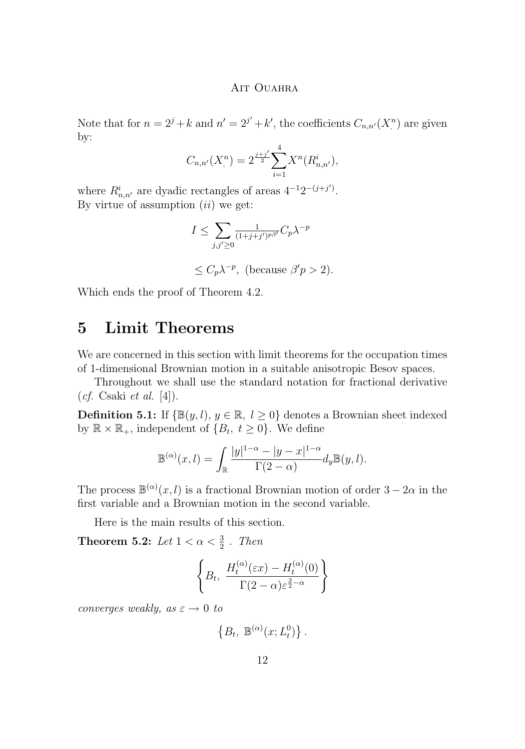Note that for  $n = 2^j + k$  and  $n' = 2^{j'} + k'$ , the coefficients  $C_{n,n'}(X_i^n)$  are given by:

$$
C_{n,n'}(X^n) = 2^{\frac{j+j'}{2}} \sum_{i=1}^4 X^n(R^i_{n,n'}),
$$

where  $R_{n,n'}^i$  are dyadic rectangles of areas  $4^{-1}2^{-(j+j')}$ . By virtue of assumption  $(ii)$  we get:

$$
I \le \sum_{j,j'\ge 0} \frac{1}{(1+j+j')^{p\beta'}} C_p \lambda^{-p}
$$
  

$$
\le C_p \lambda^{-p}, \text{ (because } \beta'p > 2).
$$

Which ends the proof of Theorem [4.2.](#page-8-0)

### **5 Limit Theorems**

We are concerned in this section with limit theorems for the occupation times of 1-dimensional Brownian motion in a suitable anisotropic Besov spaces.

Throughout we shall use the standard notation for fractional derivative (*cf.* Csaki *et al.* [\[4\]](#page-15-0)).

**Definition 5.1:** If  $\{\mathbb{B}(y, l), y \in \mathbb{R}, l \geq 0\}$  denotes a Brownian sheet indexed by  $\mathbb{R} \times \mathbb{R}_+$ , independent of  $\{B_t, t \geq 0\}$ . We define

$$
\mathbb{B}^{(\alpha)}(x,l) = \int_{\mathbb{R}} \frac{|y|^{1-\alpha} - |y-x|^{1-\alpha}}{\Gamma(2-\alpha)} d_y \mathbb{B}(y,l).
$$

The process  $\mathbb{B}^{(\alpha)}(x,l)$  is a fractional Brownian motion of order  $3-2\alpha$  in the first variable and a Brownian motion in the second variable.

Here is the main results of this section.

**Theorem 5.2:** *Let*  $1 < \alpha < \frac{3}{2}$  *. Then* 

$$
\left\{ B_t, \ \frac{H_t^{(\alpha)}(\varepsilon x) - H_t^{(\alpha)}(0)}{\Gamma(2-\alpha)\varepsilon^{\frac{3}{2}-\alpha}} \right\}
$$

*converges weakly, as*  $\varepsilon \to 0$  *to* 

 $\left\{B_t, \ \mathbb{B}^{(\alpha)}(x;L_t^0)\right\}.$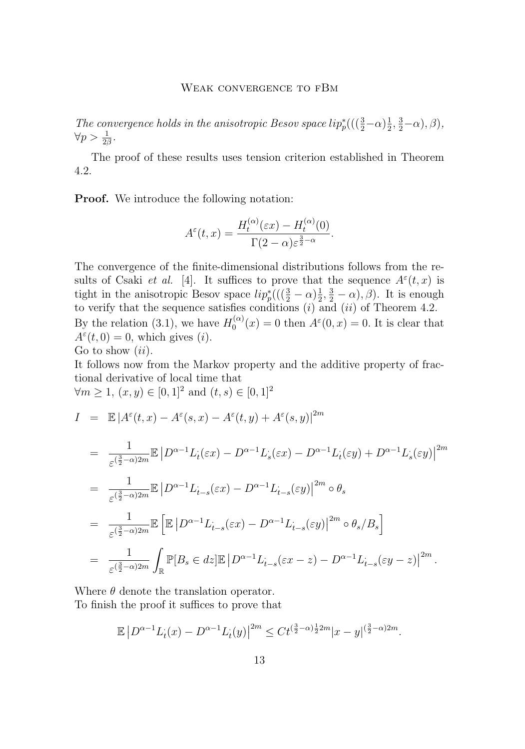#### WEAK CONVERGENCE TO FBM

The convergence holds in the anisotropic Besov space  $lip_p^*(( (\frac{3}{2} - \alpha) \frac{1}{2}, \frac{3}{2} - \alpha), \beta)$ ,  $\forall p > \frac{1}{2\beta}.$ 

The proof of these results uses tension criterion established in Theorem [4.2.](#page-8-0)

**Proof.** We introduce the following notation:

$$
A^{\varepsilon}(t,x) = \frac{H_t^{(\alpha)}(\varepsilon x) - H_t^{(\alpha)}(0)}{\Gamma(2-\alpha)\varepsilon^{\frac{3}{2}-\alpha}}.
$$

The convergence of the finite-dimensional distributions follows from the results of Csaki *et al.* [\[4\]](#page-15-0). It suffices to prove that the sequence  $A^{\varepsilon}(t, x)$  is tight in the anisotropic Besov space  $lip_p^*((\left(\frac{3}{2}-\alpha\right)\frac{1}{2},\frac{3}{2}-\alpha),\beta)$ . It is enough to verify that the sequence satisfies conditions  $(i)$  and  $(ii)$  of Theorem [4.2.](#page-8-0) By the relation [\(3.1\)](#page-7-0), we have  $H_0^{(\alpha)}$  $\lambda_0^{(\alpha)}(x) = 0$  then  $A^{\varepsilon}(0, x) = 0$ . It is clear that  $A^{\varepsilon}(t,0) = 0$ , which gives (*i*).

Go to show  $(ii)$ .

It follows now from the Markov property and the additive property of fractional derivative of local time that  $\forall m \geq 1, (x, y) \in [0, 1]^2 \text{ and } (t, s) \in [0, 1]^2$ 

$$
I = \mathbb{E}|A^{\varepsilon}(t,x) - A^{\varepsilon}(s,x) - A^{\varepsilon}(t,y) + A^{\varepsilon}(s,y)|^{2m}
$$
  
\n
$$
= \frac{1}{\varepsilon^{\left(\frac{3}{2}-\alpha\right)2m}} \mathbb{E}|D^{\alpha-1}L_{t}(\varepsilon x) - D^{\alpha-1}L_{s}(\varepsilon x) - D^{\alpha-1}L_{t}(\varepsilon y) + D^{\alpha-1}L_{s}(\varepsilon y)|^{2m}
$$
  
\n
$$
= \frac{1}{\varepsilon^{\left(\frac{3}{2}-\alpha\right)2m}} \mathbb{E}|D^{\alpha-1}L_{t-s}(\varepsilon x) - D^{\alpha-1}L_{t-s}(\varepsilon y)|^{2m} \circ \theta_{s}
$$
  
\n
$$
= \frac{1}{\varepsilon^{\left(\frac{3}{2}-\alpha\right)2m}} \mathbb{E}\left[\mathbb{E}|D^{\alpha-1}L_{t-s}(\varepsilon x) - D^{\alpha-1}L_{t-s}(\varepsilon y)|^{2m} \circ \theta_{s}/B_{s}\right]
$$
  
\n
$$
= \frac{1}{\varepsilon^{\left(\frac{3}{2}-\alpha\right)2m}} \int_{\mathbb{R}} \mathbb{P}[B_{s} \in dz] \mathbb{E}|D^{\alpha-1}L_{t-s}(\varepsilon x - z) - D^{\alpha-1}L_{t-s}(\varepsilon y - z)|^{2m}.
$$

Where  $\theta$  denote the translation operator. To finish the proof it suffices to prove that

$$
\mathbb{E}\left|D^{\alpha-1}L_t(x) - D^{\alpha-1}L_t(y)\right|^{2m} \le C t^{\left(\frac{3}{2}-\alpha\right)\frac{1}{2}2m}|x-y|^{\left(\frac{3}{2}-\alpha\right)2m}.
$$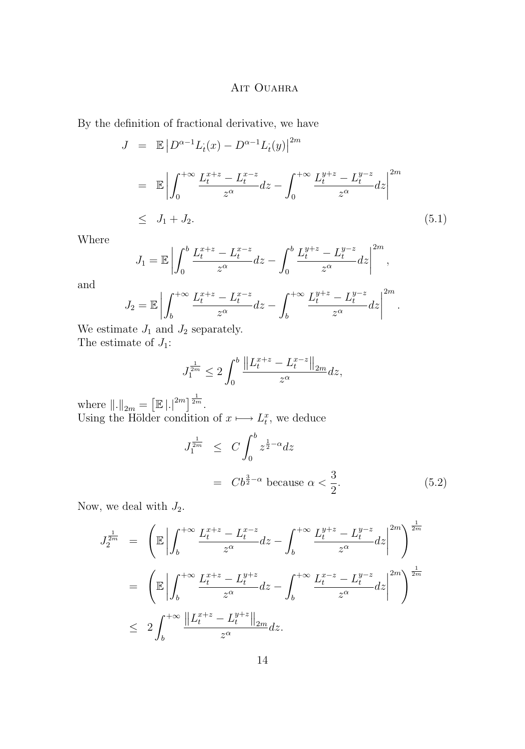<span id="page-14-0"></span>By the definition of fractional derivative, we have

$$
J = \mathbb{E} |D^{\alpha-1} L_i(x) - D^{\alpha-1} L_i(y)|^{2m}
$$
  
\n
$$
= \mathbb{E} \left| \int_0^{+\infty} \frac{L_t^{x+z} - L_t^{x-z}}{z^{\alpha}} dz - \int_0^{+\infty} \frac{L_t^{y+z} - L_t^{y-z}}{z^{\alpha}} dz \right|^{2m}
$$
  
\n
$$
\leq J_1 + J_2.
$$
 (5.1)

Where

$$
J_1 = \mathbb{E} \left| \int_0^b \frac{L_t^{x+z} - L_t^{x-z}}{z^{\alpha}} dz - \int_0^b \frac{L_t^{y+z} - L_t^{y-z}}{z^{\alpha}} dz \right|^{2m},
$$

and

$$
J_2 = \mathbb{E} \left| \int_b^{+\infty} \frac{L_t^{x+z} - L_t^{x-z}}{z^{\alpha}} dz - \int_b^{+\infty} \frac{L_t^{y+z} - L_t^{y-z}}{z^{\alpha}} dz \right|^{2m}.
$$

We estimate  $J_1$  and  $J_2$  separately. The estimate of  $J_1$ :

$$
J_1^{\frac{1}{2m}} \le 2 \int_0^b \frac{\left\| L_t^{x+z} - L_t^{x-z} \right\|_{2m}}{z^{\alpha}} dz,
$$

where  $\|.\|_{2m} = \left[\mathbb{E} |.|^{2m}\right]^{\frac{1}{2m}}$ . Using the Hölder condition of  $x \mapsto L_t^x$ , we deduce

$$
J_1^{\frac{1}{2m}} \leq C \int_0^b z^{\frac{1}{2}-\alpha} dz
$$
  
=  $Cb^{\frac{3}{2}-\alpha}$  because  $\alpha < \frac{3}{2}$ . (5.2)

Now, we deal with  $J_2$ .

$$
J_2^{\frac{1}{2m}} = \left( \mathbb{E} \left| \int_b^{+\infty} \frac{L_t^{x+z} - L_t^{x-z}}{z^{\alpha}} dz - \int_b^{+\infty} \frac{L_t^{y+z} - L_t^{y-z}}{z^{\alpha}} dz \right|^{2m} \right)^{\frac{1}{2m}}
$$
  

$$
= \left( \mathbb{E} \left| \int_b^{+\infty} \frac{L_t^{x+z} - L_t^{y+z}}{z^{\alpha}} dz - \int_b^{+\infty} \frac{L_t^{x-z} - L_t^{y-z}}{z^{\alpha}} dz \right|^{2m} \right)^{\frac{1}{2m}}
$$
  

$$
\leq 2 \int_b^{+\infty} \frac{\left\| L_t^{x+z} - L_t^{y+z} \right\|_{2m}}{z^{\alpha}} dz.
$$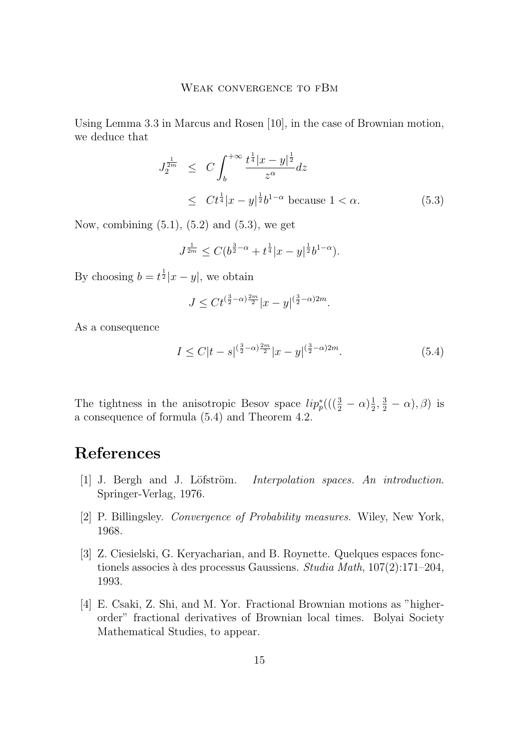<span id="page-15-0"></span>Using Lemma 3.3 in Marcus and Rosen [\[10\]](#page-16-0), in the case of Brownian motion, we deduce that

$$
J_2^{\frac{1}{2m}} \leq C \int_b^{+\infty} \frac{t^{\frac{1}{4}} |x - y|^{\frac{1}{2}}}{z^{\alpha}} dz
$$
  
 
$$
\leq C t^{\frac{1}{4}} |x - y|^{\frac{1}{2}} b^{1-\alpha} \text{ because } 1 < \alpha.
$$
 (5.3)

Now, combining  $(5.1)$ ,  $(5.2)$  and  $(5.3)$ , we get

$$
J^{\frac{1}{2m}} \leq C(b^{\frac{3}{2}-\alpha} + t^{\frac{1}{4}}|x-y|^{\frac{1}{2}}b^{1-\alpha}).
$$

By choosing  $b = t^{\frac{1}{2}}|x - y|$ , we obtain

$$
J \leq C t^{(\frac{3}{2}-\alpha)\frac{2m}{2}} |x-y|^{(\frac{3}{2}-\alpha)2m}.
$$

As a consequence

$$
I \le C|t - s|^{(\frac{3}{2}-\alpha)\frac{2m}{2}}|x - y|^{(\frac{3}{2}-\alpha)2m}.\tag{5.4}
$$

The tightness in the anisotropic Besov space  $lip_p^*((\left(\frac{3}{2}-\alpha\right)\frac{1}{2},\frac{3}{2}-\alpha),\beta)$  is a consequence of formula (5.4) and Theorem [4.2.](#page-8-0)

## **References**

- [1] J. Bergh and J. Löfström. *Interpolation spaces. An introduction*. Springer-Verlag, 1976.
- [2] P. Billingsley. *Convergence of Probability measures*. Wiley, New York, 1968.
- [3] Z. Ciesielski, G. Keryacharian, and B. Roynette. Quelques espaces fonctionels associes à des processus Gaussiens. *Studia Math*, 107(2):171–204, 1993.
- [4] E. Csaki, Z. Shi, and M. Yor. Fractional Brownian motions as "higherorder" fractional derivatives of Brownian local times. Bolyai Society Mathematical Studies, to appear.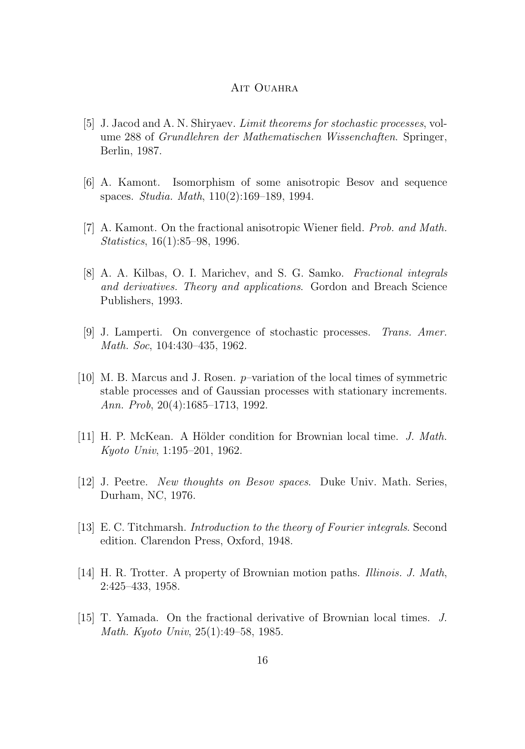- <span id="page-16-0"></span>[5] J. Jacod and A. N. Shiryaev. *Limit theorems for stochastic processes*, volume 288 of *Grundlehren der Mathematischen Wissenchaften*. Springer, Berlin, 1987.
- [6] A. Kamont. Isomorphism of some anisotropic Besov and sequence spaces. *Studia. Math*, 110(2):169–189, 1994.
- [7] A. Kamont. On the fractional anisotropic Wiener field. *Prob. and Math. Statistics*, 16(1):85–98, 1996.
- [8] A. A. Kilbas, O. I. Marichev, and S. G. Samko. *Fractional integrals and derivatives. Theory and applications*. Gordon and Breach Science Publishers, 1993.
- [9] J. Lamperti. On convergence of stochastic processes. *Trans. Amer. Math. Soc*, 104:430–435, 1962.
- [10] M. B. Marcus and J. Rosen. p–variation of the local times of symmetric stable processes and of Gaussian processes with stationary increments. *Ann. Prob*, 20(4):1685–1713, 1992.
- [11] H. P. McKean. A Hölder condition for Brownian local time. *J. Math. Kyoto Univ*, 1:195–201, 1962.
- [12] J. Peetre. *New thoughts on Besov spaces*. Duke Univ. Math. Series, Durham, NC, 1976.
- [13] E. C. Titchmarsh. *Introduction to the theory of Fourier integrals*. Second edition. Clarendon Press, Oxford, 1948.
- [14] H. R. Trotter. A property of Brownian motion paths. *Illinois. J. Math*, 2:425–433, 1958.
- [15] T. Yamada. On the fractional derivative of Brownian local times. *J. Math. Kyoto Univ*, 25(1):49–58, 1985.